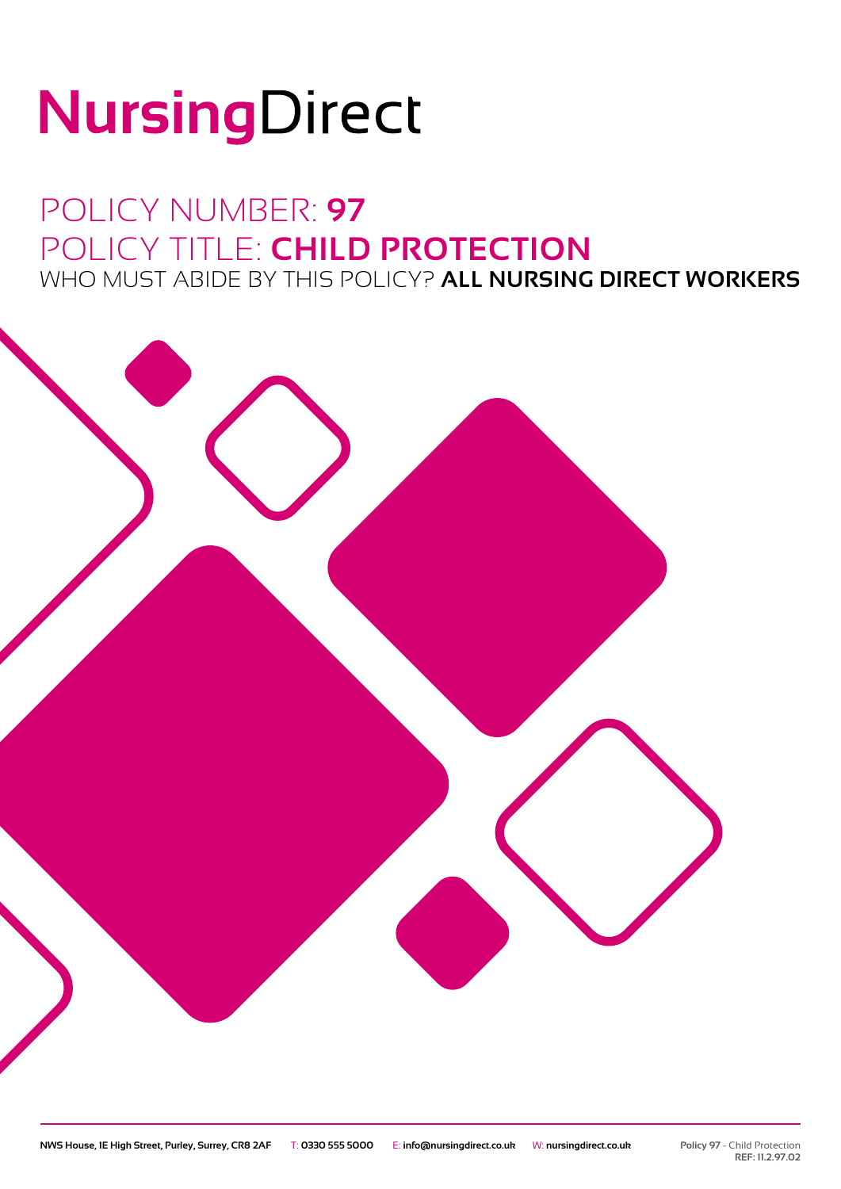# NursingDirect

## POLICY NUMBER: **97** POLICY TITLE: **CHILD PROTECTION** WHO MUST ABIDE BY THIS POLICY? **ALL NURSING DIRECT WORKERS**

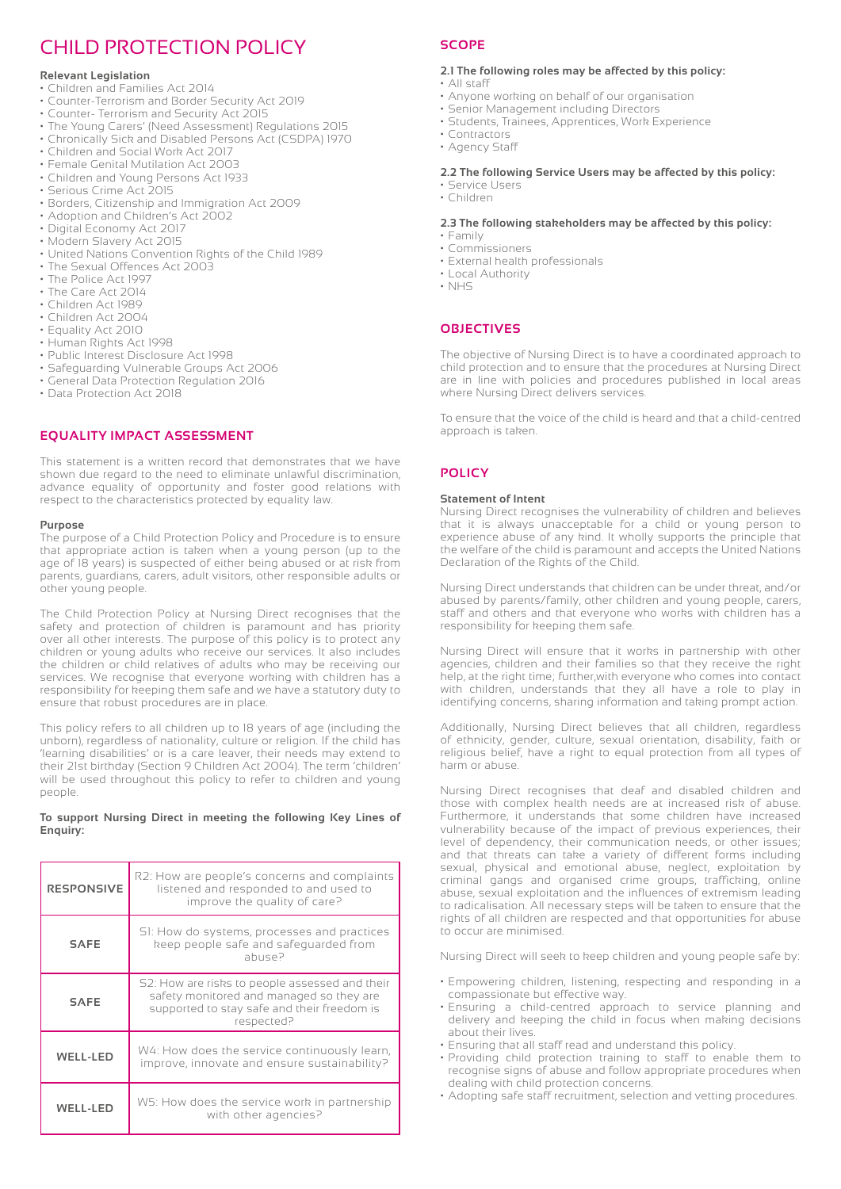### CHILD PROTECTION POLICY

#### **Relevant Legislation**

- Children and Families Act 2014
- Counter-Terrorism and Border Security Act 2019
- Counter- Terrorism and Security Act 2015
- The Young Carers' (Need Assessment) Regulations 2015
- Chronically Sick and Disabled Persons Act (CSDPA) 1970
- Children and Social Work Act 2017
- Female Genital Mutilation Act 2003
- Children and Young Persons Act 1933
- Serious Crime Act 2015
- Borders, Citizenship and Immigration Act 2009
- Adoption and Children's Act 2002
- Digital Economy Act 2017
- Modern Slavery Act 2015
- United Nations Convention Rights of the Child 1989
- The Sexual Offences Act 2003
- The Police Act 1997
- The Care Act 2014
- Children Act 1989
- Children Act 2004
- Equality Act 2010
- Human Rights Act 1998
- Public Interest Disclosure Act 1998
- Safeguarding Vulnerable Groups Act 2006
- General Data Protection Regulation 2016
- Data Protection Act 2018

#### **EQUALITY IMPACT ASSESSMENT**

This statement is a written record that demonstrates that we have shown due regard to the need to eliminate unlawful discrimination, advance equality of opportunity and foster good relations with respect to the characteristics protected by equality law.

#### **Purpose**

The purpose of a Child Protection Policy and Procedure is to ensure that appropriate action is taken when a young person (up to the age of 18 years) is suspected of either being abused or at risk from parents, guardians, carers, adult visitors, other responsible adults or other young people.

The Child Protection Policy at Nursing Direct recognises that the safety and protection of children is paramount and has priority over all other interests. The purpose of this policy is to protect any children or young adults who receive our services. It also includes the children or child relatives of adults who may be receiving our services. We recognise that everyone working with children has a responsibility for keeping them safe and we have a statutory duty to ensure that robust procedures are in place.

This policy refers to all children up to 18 years of age (including the unborn), regardless of nationality, culture or religion. If the child has 'learning disabilities' or is a care leaver, their needs may extend to their 21st birthday (Section 9 Children Act 2004). The term 'children' will be used throughout this policy to refer to children and young people.

#### **To support Nursing Direct in meeting the following Key Lines of Enquiry:**

| <b>RESPONSIVE</b> | R2: How are people's concerns and complaints<br>listened and responded to and used to<br>improve the quality of care?                                   |
|-------------------|---------------------------------------------------------------------------------------------------------------------------------------------------------|
| <b>SAFE</b>       | SI: How do systems, processes and practices<br>keep people safe and safequarded from<br>abuse?                                                          |
| <b>SAFE</b>       | S2: How are risks to people assessed and their<br>safety monitored and managed so they are<br>supported to stay safe and their freedom is<br>respected? |
| <b>WELL-LED</b>   | W4: How does the service continuously learn,<br>improve, innovate and ensure sustainability?                                                            |
| WELL-LED          | W5: How does the service work in partnership<br>with other agencies?                                                                                    |

#### **SCOPE**

#### **2.1 The following roles may be affected by this policy:**

- All staff
- Anyone working on behalf of our organisation
- Senior Management including Directors
- Students, Trainees, Apprentices, Work Experience
- Contractors
- Agency Staff

#### **2.2 The following Service Users may be affected by this policy:** • Service Users

• Children

#### **2.3 The following stakeholders may be affected by this policy:**

- Family • Commissioners
- External health professionals
- Local Authority
- NHS

#### **OBJECTIVES**

The objective of Nursing Direct is to have a coordinated approach to child protection and to ensure that the procedures at Nursing Direct are in line with policies and procedures published in local areas where Nursing Direct delivers services.

To ensure that the voice of the child is heard and that a child-centred approach is taken.

#### **POLICY**

#### **Statement of Intent**

Nursing Direct recognises the vulnerability of children and believes that it is always unacceptable for a child or young person to experience abuse of any kind. It wholly supports the principle that the welfare of the child is paramount and accepts the United Nations Declaration of the Rights of the Child.

Nursing Direct understands that children can be under threat, and/or abused by parents/family, other children and young people, carers, staff and others and that everyone who works with children has a responsibility for keeping them safe.

Nursing Direct will ensure that it works in partnership with other agencies, children and their families so that they receive the right help, at the right time; further,with everyone who comes into contact with children, understands that they all have a role to play in identifying concerns, sharing information and taking prompt action.

Additionally, Nursing Direct believes that all children, regardless of ethnicity, gender, culture, sexual orientation, disability, faith or religious belief, have a right to equal protection from all types of harm or abuse.

Nursing Direct recognises that deaf and disabled children and those with complex health needs are at increased risk of abuse. Furthermore, it understands that some children have increased vulnerability because of the impact of previous experiences, their level of dependency, their communication needs, or other issues; and that threats can take a variety of different forms including sexual, physical and emotional abuse, neglect, exploitation by criminal gangs and organised crime groups, trafficking, online abuse, sexual exploitation and the influences of extremism leading to radicalisation. All necessary steps will be taken to ensure that the rights of all children are respected and that opportunities for abuse to occur are minimised.

Nursing Direct will seek to keep children and young people safe by:

- Empowering children, listening, respecting and responding in a compassionate but effective way.
- Ensuring a child-centred approach to service planning and delivery and keeping the child in focus when making decisions about their lives.
- Ensuring that all staff read and understand this policy.
- Providing child protection training to staff to enable them to recognise signs of abuse and follow appropriate procedures when dealing with child protection concerns.
- Adopting safe staff recruitment, selection and vetting procedures.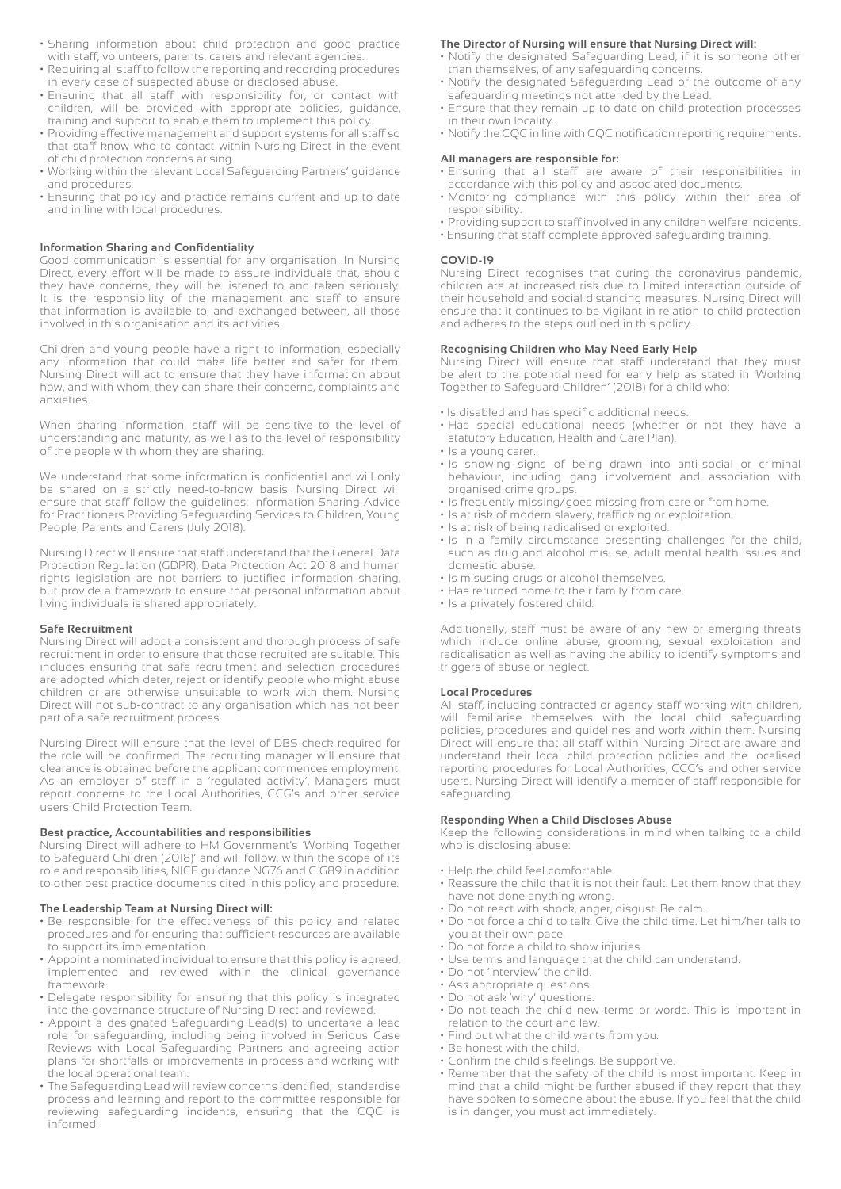- Sharing information about child protection and good practice with staff, volunteers, parents, carers and relevant agencies.
- Requiring all staff to follow the reporting and recording procedures in every case of suspected abuse or disclosed abuse.
- Ensuring that all staff with responsibility for, or contact with children, will be provided with appropriate policies, guidance, training and support to enable them to implement this policy.
- Providing effective management and support systems for all staff so that staff know who to contact within Nursing Direct in the event of child protection concerns arising.
- Working within the relevant Local Safeguarding Partners' guidance and procedures.
- Ensuring that policy and practice remains current and up to date and in line with local procedures.

#### **Information Sharing and Confidentiality**

Good communication is essential for any organisation. In Nursing Direct, every effort will be made to assure individuals that, should they have concerns, they will be listened to and taken seriously. It is the responsibility of the management and staff to ensure that information is available to, and exchanged between, all those involved in this organisation and its activities.

Children and young people have a right to information, especially any information that could make life better and safer for them. Nursing Direct will act to ensure that they have information about how, and with whom, they can share their concerns, complaints and anxieties.

When sharing information, staff will be sensitive to the level of understanding and maturity, as well as to the level of responsibility of the people with whom they are sharing.

We understand that some information is confidential and will only be shared on a strictly need-to-know basis. Nursing Direct will ensure that staff follow the guidelines: Information Sharing Advice for Practitioners Providing Safeguarding Services to Children, Young People, Parents and Carers (July 2018).

Nursing Direct will ensure that staff understand that the General Data Protection Regulation (GDPR), Data Protection Act 2018 and human rights legislation are not barriers to justified information sharing, but provide a framework to ensure that personal information about living individuals is shared appropriately.

#### **Safe Recruitment**

Nursing Direct will adopt a consistent and thorough process of safe recruitment in order to ensure that those recruited are suitable. This includes ensuring that safe recruitment and selection procedures are adopted which deter, reject or identify people who might abuse children or are otherwise unsuitable to work with them. Nursing Direct will not sub-contract to any organisation which has not been part of a safe recruitment process.

Nursing Direct will ensure that the level of DBS check required for the role will be confirmed. The recruiting manager will ensure that clearance is obtained before the applicant commences employment. As an employer of staff in a 'regulated activity', Managers must report concerns to the Local Authorities, CCG's and other service users Child Protection Team.

#### **Best practice, Accountabilities and responsibilities**

Nursing Direct will adhere to HM Government's 'Working Together to Safeguard Children (2018)' and will follow, within the scope of its role and responsibilities, NICE guidance NG76 and C G89 in addition to other best practice documents cited in this policy and procedure.

#### **The Leadership Team at Nursing Direct will:**

- Be responsible for the effectiveness of this policy and related procedures and for ensuring that sufficient resources are available to support its implementation
- Appoint a nominated individual to ensure that this policy is agreed, implemented and reviewed within the clinical governance framework.
- Delegate responsibility for ensuring that this policy is integrated into the governance structure of Nursing Direct and reviewed.
- Appoint a designated Safeguarding Lead(s) to undertake a lead role for safeguarding, including being involved in Serious Case Reviews with Local Safeguarding Partners and agreeing action plans for shortfalls or improvements in process and working with the local operational team.
- The Safeguarding Lead will review concerns identified, standardise process and learning and report to the committee responsible for reviewing safeguarding incidents, ensuring that the CQC is informed.

#### **The Director of Nursing will ensure that Nursing Direct will:**

- Notify the designated Safeguarding Lead, if it is someone other than themselves, of any safeguarding concerns.
- Notify the designated Safeguarding Lead of the outcome of any safeguarding meetings not attended by the Lead.
- Ensure that they remain up to date on child protection processes in their own locality.
- Notify the CQC in line with CQC notification reporting requirements.

#### **All managers are responsible for:**

- Ensuring that all staff are aware of their responsibilities in accordance with this policy and associated documents.
- Monitoring compliance with this policy within their area of responsibility.
- Providing support to staff involved in any children welfare incidents.
- Ensuring that staff complete approved safeguarding training.

#### **COVID-19**

Nursing Direct recognises that during the coronavirus pandemic, children are at increased risk due to limited interaction outside of their household and social distancing measures. Nursing Direct will ensure that it continues to be vigilant in relation to child protection and adheres to the steps outlined in this policy.

#### **Recognising Children who May Need Early Help**

Nursing Direct will ensure that staff understand that they must be alert to the potential need for early help as stated in 'Working Together to Safeguard Children' (2018) for a child who:

- Is disabled and has specific additional needs.
- Has special educational needs (whether or not they have a statutory Education, Health and Care Plan).
- Is a young carer.
- Is showing signs of being drawn into anti-social or criminal behaviour, including gang involvement and association with organised crime groups.
- Is frequently missing/goes missing from care or from home.
- Is at risk of modern slavery, trafficking or exploitation.
- Is at risk of being radicalised or exploited.
- Is in a family circumstance presenting challenges for the child, such as drug and alcohol misuse, adult mental health issues and domestic abuse.
- Is misusing drugs or alcohol themselves.
- Has returned home to their family from care.
- Is a privately fostered child.

Additionally, staff must be aware of any new or emerging threats which include online abuse, grooming, sexual exploitation and radicalisation as well as having the ability to identify symptoms and triggers of abuse or neglect.

#### **Local Procedures**

All staff, including contracted or agency staff working with children, will familiarise themselves with the local child safeguarding policies, procedures and guidelines and work within them. Nursing Direct will ensure that all staff within Nursing Direct are aware and understand their local child protection policies and the localised reporting procedures for Local Authorities, CCG's and other service users. Nursing Direct will identify a member of staff responsible for safeguarding.

#### **Responding When a Child Discloses Abuse**

Keep the following considerations in mind when talking to a child who is disclosing abuse:

- Help the child feel comfortable.
- Reassure the child that it is not their fault. Let them know that they have not done anything wrong.
- Do not react with shock, anger, disgust. Be calm.
- Do not force a child to talk. Give the child time. Let him/her talk to you at their own pace.
- Do not force a child to show injuries.
- Use terms and language that the child can understand.
- Do not 'interview' the child.
- Ask appropriate questions.
- Do not ask 'why' questions.
- Do not teach the child new terms or words. This is important in relation to the court and law.
- Find out what the child wants from you.
- Be honest with the child.
- Confirm the child's feelings. Be supportive.
- Remember that the safety of the child is most important. Keep in mind that a child might be further abused if they report that they have spoken to someone about the abuse. If you feel that the child is in danger, you must act immediately.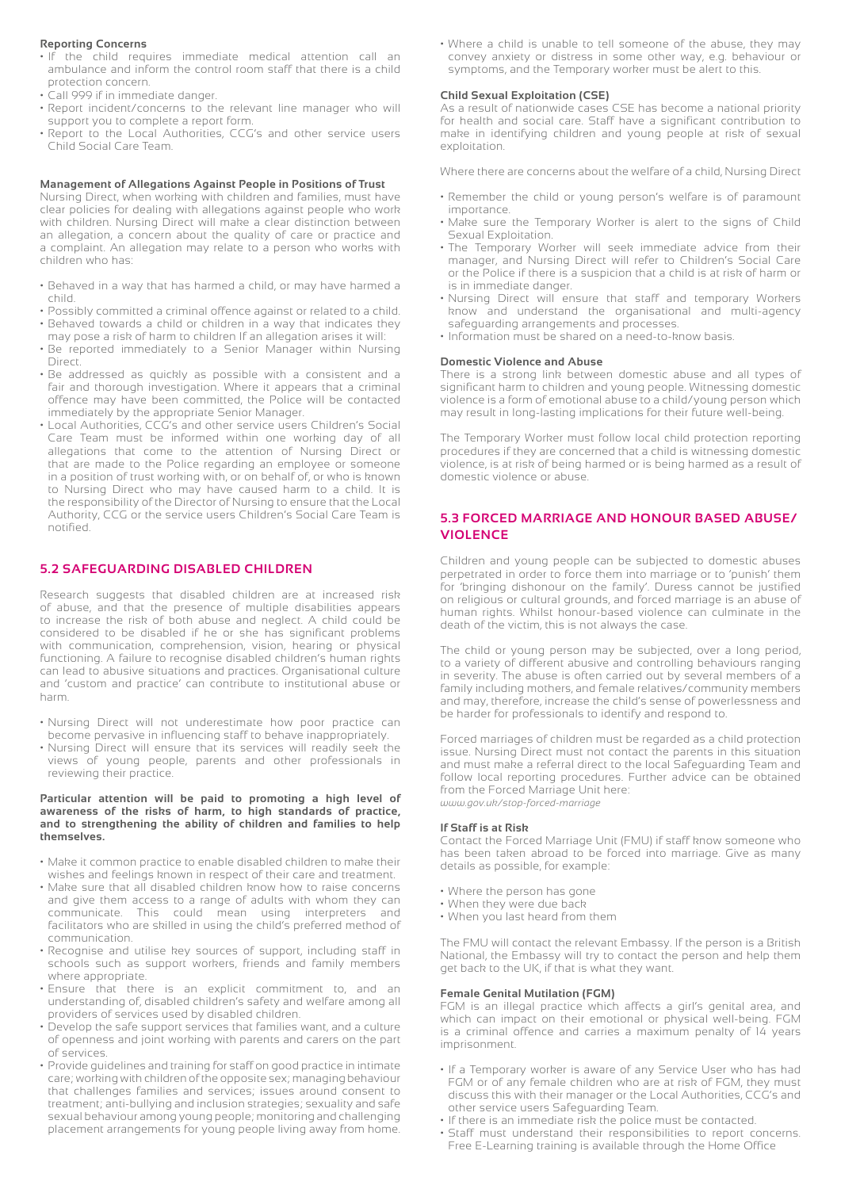#### **Reporting Concerns**

- If the child requires immediate medical attention call an ambulance and inform the control room staff that there is a child protection concern.
- Call 999 if in immediate danger.
- Report incident/concerns to the relevant line manager who will support you to complete a report form.
- Report to the Local Authorities, CCG's and other service users Child Social Care Team.

#### **Management of Allegations Against People in Positions of Trust**

Nursing Direct, when working with children and families, must have clear policies for dealing with allegations against people who work with children. Nursing Direct will make a clear distinction between an allegation, a concern about the quality of care or practice and a complaint. An allegation may relate to a person who works with children who has:

- Behaved in a way that has harmed a child, or may have harmed a child.
- Possibly committed a criminal offence against or related to a child. • Behaved towards a child or children in a way that indicates they
- may pose a risk of harm to children If an allegation arises it will: • Be reported immediately to a Senior Manager within Nursing
- Direct. • Be addressed as quickly as possible with a consistent and a
- fair and thorough investigation. Where it appears that a criminal offence may have been committed, the Police will be contacted immediately by the appropriate Senior Manager.
- Local Authorities, CCG's and other service users Children's Social Care Team must be informed within one working day of all allegations that come to the attention of Nursing Direct or that are made to the Police regarding an employee or someone in a position of trust working with, or on behalf of, or who is known to Nursing Direct who may have caused harm to a child. It is the responsibility of the Director of Nursing to ensure that the Local Authority, CCG or the service users Children's Social Care Team is notified.

#### **5.2 SAFEGUARDING DISABLED CHILDREN**

Research suggests that disabled children are at increased risk of abuse, and that the presence of multiple disabilities appears to increase the risk of both abuse and neglect. A child could be considered to be disabled if he or she has significant problems with communication, comprehension, vision, hearing or physical functioning. A failure to recognise disabled children's human rights can lead to abusive situations and practices. Organisational culture and 'custom and practice' can contribute to institutional abuse or harm.

- Nursing Direct will not underestimate how poor practice can become pervasive in influencing staff to behave inappropriately.
- Nursing Direct will ensure that its services will readily seek the views of young people, parents and other professionals in reviewing their practice.

#### **Particular attention will be paid to promoting a high level of awareness of the risks of harm, to high standards of practice, and to strengthening the ability of children and families to help themselves.**

- Make it common practice to enable disabled children to make their wishes and feelings known in respect of their care and treatment.
- Make sure that all disabled children know how to raise concerns and give them access to a range of adults with whom they can communicate. This could mean using interpreters and facilitators who are skilled in using the child's preferred method of communication.
- Recognise and utilise key sources of support, including staff in schools such as support workers, friends and family members where appropriate.
- Ensure that there is an explicit commitment to, and an understanding of, disabled children's safety and welfare among all providers of services used by disabled children.
- Develop the safe support services that families want, and a culture of openness and joint working with parents and carers on the part of services.
- Provide guidelines and training for staff on good practice in intimate care; working with children of the opposite sex; managing behaviour that challenges families and services; issues around consent to treatment; anti-bullying and inclusion strategies; sexuality and safe sexual behaviour among young people; monitoring and challenging placement arrangements for young people living away from home.

• Where a child is unable to tell someone of the abuse, they may convey anxiety or distress in some other way, e.g. behaviour or symptoms, and the Temporary worker must be alert to this.

#### **Child Sexual Exploitation (CSE)**

As a result of nationwide cases CSE has become a national priority for health and social care. Staff have a significant contribution to make in identifying children and young people at risk of sexual exploitation.

Where there are concerns about the welfare of a child, Nursing Direct

- Remember the child or young person's welfare is of paramount importance.
- Make sure the Temporary Worker is alert to the signs of Child Sexual Exploitation.
- The Temporary Worker will seek immediate advice from their manager, and Nursing Direct will refer to Children's Social Care or the Police if there is a suspicion that a child is at risk of harm or is in immediate danger.
- Nursing Direct will ensure that staff and temporary Workers know and understand the organisational and multi-agency safeguarding arrangements and processes.
- Information must be shared on a need-to-know basis.

#### **Domestic Violence and Abuse**

There is a strong link between domestic abuse and all types of significant harm to children and young people. Witnessing domestic violence is a form of emotional abuse to a child/young person which may result in long-lasting implications for their future well-being.

The Temporary Worker must follow local child protection reporting procedures if they are concerned that a child is witnessing domestic violence, is at risk of being harmed or is being harmed as a result of domestic violence or abuse.

#### **5.3 FORCED MARRIAGE AND HONOUR BASED ABUSE/ VIOLENCE**

Children and young people can be subjected to domestic abuses perpetrated in order to force them into marriage or to 'punish' them for 'bringing dishonour on the family'. Duress cannot be justified on religious or cultural grounds, and forced marriage is an abuse of human rights. Whilst honour-based violence can culminate in the death of the victim, this is not always the case.

The child or young person may be subjected, over a long period, to a variety of different abusive and controlling behaviours ranging in severity. The abuse is often carried out by several members of a family including mothers, and female relatives/community members and may, therefore, increase the child's sense of powerlessness and be harder for professionals to identify and respond to.

Forced marriages of children must be regarded as a child protection issue. Nursing Direct must not contact the parents in this situation and must make a referral direct to the local Safeguarding Team and follow local reporting procedures. Further advice can be obtained from the Forced Marriage Unit here: *www.gov.uk/stop-forced-marriage*

#### **If Staff is at Risk**

Contact the Forced Marriage Unit (FMU) if staff know someone who has been taken abroad to be forced into marriage. Give as many details as possible, for example:

- Where the person has gone
- When they were due back
- When you last heard from them

The FMU will contact the relevant Embassy. If the person is a British National, the Embassy will try to contact the person and help them get back to the UK, if that is what they want.

#### **Female Genital Mutilation (FGM)**

FGM is an illegal practice which affects a girl's genital area, and which can impact on their emotional or physical well-being. FGM is a criminal offence and carries a maximum penalty of 14 years imprisonment.

- If a Temporary worker is aware of any Service User who has had FGM or of any female children who are at risk of FGM, they must discuss this with their manager or the Local Authorities, CCG's and other service users Safeguarding Team.
- If there is an immediate risk the police must be contacted.
- Staff must understand their responsibilities to report concerns. Free E-Learning training is available through the Home Office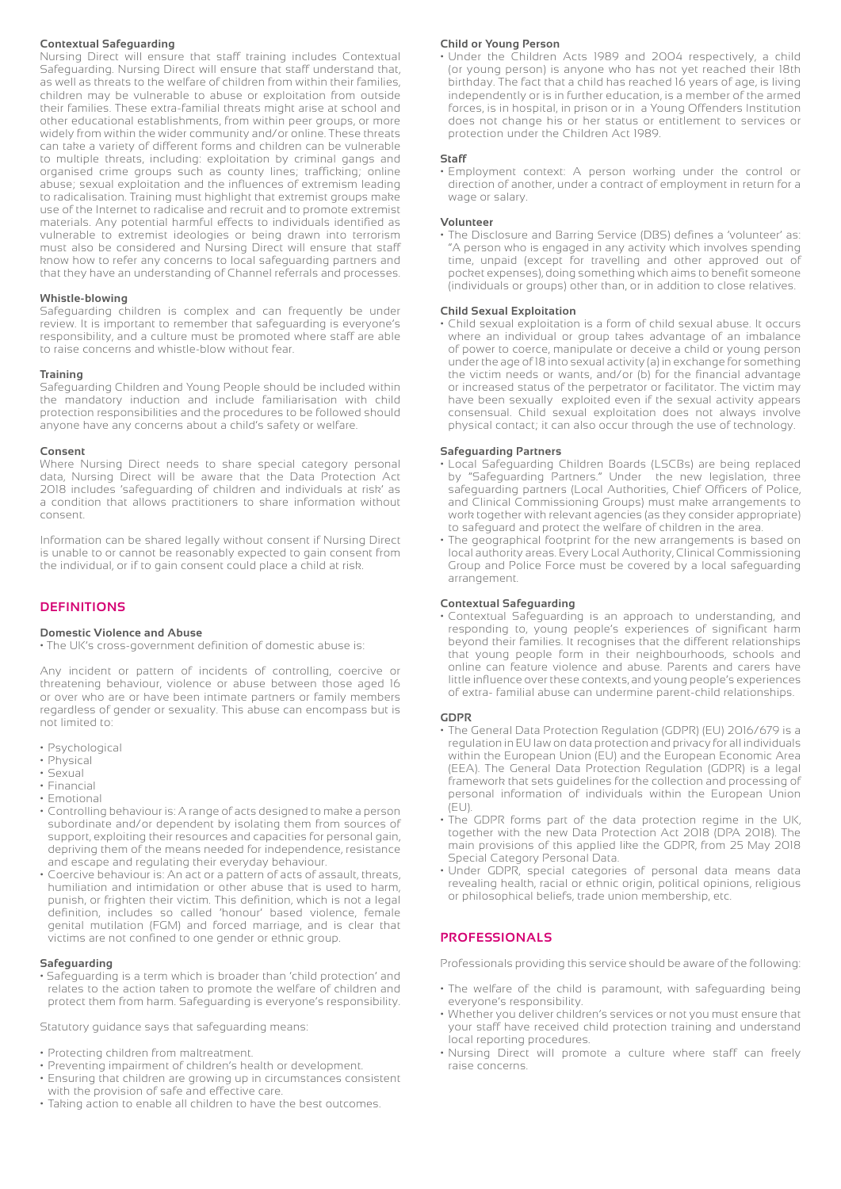#### **Contextual Safeguarding**

Nursing Direct will ensure that staff training includes Contextual Safeguarding. Nursing Direct will ensure that staff understand that, as well as threats to the welfare of children from within their families, children may be vulnerable to abuse or exploitation from outside their families. These extra-familial threats might arise at school and other educational establishments, from within peer groups, or more widely from within the wider community and/or online. These threats can take a variety of different forms and children can be vulnerable to multiple threats, including: exploitation by criminal gangs and organised crime groups such as county lines; trafficking; online abuse; sexual exploitation and the influences of extremism leading to radicalisation. Training must highlight that extremist groups make use of the Internet to radicalise and recruit and to promote extremist materials. Any potential harmful effects to individuals identified as vulnerable to extremist ideologies or being drawn into terrorism must also be considered and Nursing Direct will ensure that staff know how to refer any concerns to local safeguarding partners and that they have an understanding of Channel referrals and processes.

#### **Whistle-blowing**

Safeguarding children is complex and can frequently be under review. It is important to remember that safeguarding is everyone's responsibility, and a culture must be promoted where staff are able to raise concerns and whistle-blow without fear.

#### **Training**

Safeguarding Children and Young People should be included within the mandatory induction and include familiarisation with child protection responsibilities and the procedures to be followed should anyone have any concerns about a child's safety or welfare.

#### **Consent**

Where Nursing Direct needs to share special category personal data, Nursing Direct will be aware that the Data Protection Act 2018 includes 'safeguarding of children and individuals at risk' as a condition that allows practitioners to share information without consent.

Information can be shared legally without consent if Nursing Direct is unable to or cannot be reasonably expected to gain consent from the individual, or if to gain consent could place a child at risk.

#### **DEFINITIONS**

#### **Domestic Violence and Abuse**

• The UK's cross-government definition of domestic abuse is:

Any incident or pattern of incidents of controlling, coercive or threatening behaviour, violence or abuse between those aged 16 or over who are or have been intimate partners or family members regardless of gender or sexuality. This abuse can encompass but is not limited to:

- Psychological
- Physical
- Sexual
- Financial • Emotional
- 
- Controlling behaviour is: A range of acts designed to make a person subordinate and/or dependent by isolating them from sources of support, exploiting their resources and capacities for personal gain, depriving them of the means needed for independence, resistance and escape and regulating their everyday behaviour.
- Coercive behaviour is: An act or a pattern of acts of assault, threats, humiliation and intimidation or other abuse that is used to harm, punish, or frighten their victim. This definition, which is not a legal definition, includes so called 'honour' based violence, female genital mutilation (FGM) and forced marriage, and is clear that victims are not confined to one gender or ethnic group.

#### **Safeguarding**

• Safeguarding is a term which is broader than 'child protection' and relates to the action taken to promote the welfare of children and protect them from harm. Safeguarding is everyone's responsibility.

Statutory guidance says that safeguarding means:

- Protecting children from maltreatment.
- Preventing impairment of children's health or development.
- Ensuring that children are growing up in circumstances consistent with the provision of safe and effective care.
- Taking action to enable all children to have the best outcomes.

#### **Child or Young Person**

• Under the Children Acts 1989 and 2004 respectively, a child (or young person) is anyone who has not yet reached their 18th birthday. The fact that a child has reached 16 years of age, is living independently or is in further education, is a member of the armed forces, is in hospital, in prison or in a Young Offenders Institution does not change his or her status or entitlement to services or protection under the Children Act 1989.

#### **Staff**

• Employment context: A person working under the control or direction of another, under a contract of employment in return for a wage or salary.

#### **Volunteer**

• The Disclosure and Barring Service (DBS) defines a 'volunteer' as: "A person who is engaged in any activity which involves spending time, unpaid (except for travelling and other approved out of pocket expenses), doing something which aims to benefit someone (individuals or groups) other than, or in addition to close relatives.

#### **Child Sexual Exploitation**

• Child sexual exploitation is a form of child sexual abuse. It occurs where an individual or group takes advantage of an imbalance of power to coerce, manipulate or deceive a child or young person under the age of 18 into sexual activity (a) in exchange for something the victim needs or wants, and/or (b) for the financial advantage or increased status of the perpetrator or facilitator. The victim may have been sexually exploited even if the sexual activity appears consensual. Child sexual exploitation does not always involve physical contact; it can also occur through the use of technology.

#### **Safeguarding Partners**

- Local Safeguarding Children Boards (LSCBs) are being replaced by "Safeguarding Partners." Under the new legislation, three safeguarding partners (Local Authorities, Chief Officers of Police, and Clinical Commissioning Groups) must make arrangements to work together with relevant agencies (as they consider appropriate) to safeguard and protect the welfare of children in the area.
- The geographical footprint for the new arrangements is based on local authority areas. Every Local Authority, Clinical Commissioning Group and Police Force must be covered by a local safeguarding arrangement.

#### **Contextual Safeguarding**

• Contextual Safeguarding is an approach to understanding, and responding to, young people's experiences of significant harm beyond their families. It recognises that the different relationships that young people form in their neighbourhoods, schools and online can feature violence and abuse. Parents and carers have little influence over these contexts, and young people's experiences of extra- familial abuse can undermine parent-child relationships.

#### **GDPR**

- The General Data Protection Regulation (GDPR) (EU) 2016/679 is a regulation in EU law on data protection and privacy for all individuals within the European Union (EU) and the European Economic Area (EEA). The General Data Protection Regulation (GDPR) is a legal framework that sets guidelines for the collection and processing of personal information of individuals within the European Union (EU).
- The GDPR forms part of the data protection regime in the UK, together with the new Data Protection Act 2018 (DPA 2018). The main provisions of this applied like the GDPR, from 25 May 2018 Special Category Personal Data.
- Under GDPR, special categories of personal data means data revealing health, racial or ethnic origin, political opinions, religious or philosophical beliefs, trade union membership, etc.

#### **PROFESSIONALS**

Professionals providing this service should be aware of the following:

- The welfare of the child is paramount, with safeguarding being everyone's responsibility.
- Whether you deliver children's services or not you must ensure that your staff have received child protection training and understand local reporting procedures.
- Nursing Direct will promote a culture where staff can freely raise concerns.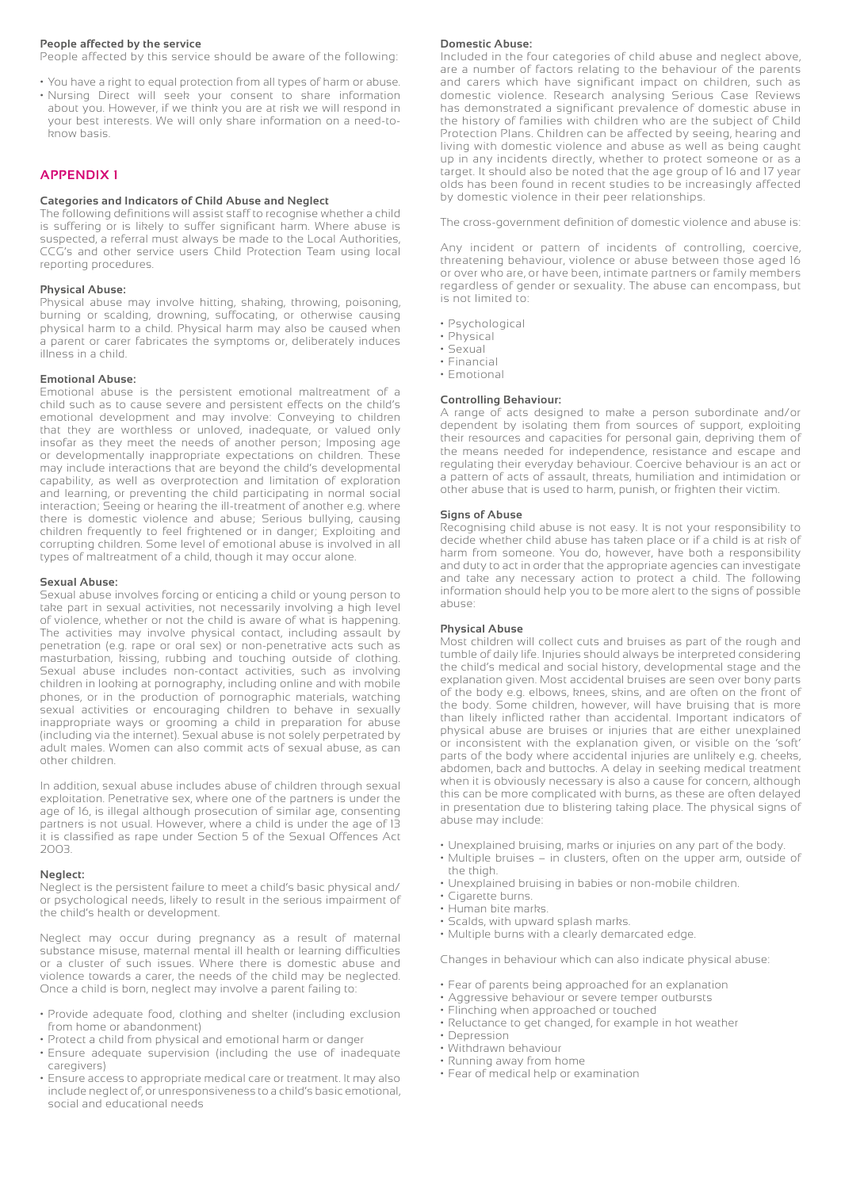#### **People affected by the service**

People affected by this service should be aware of the following:

• You have a right to equal protection from all types of harm or abuse. • Nursing Direct will seek your consent to share information about you. However, if we think you are at risk we will respond in your best interests. We will only share information on a need-toknow basis.

#### **APPENDIX 1**

#### **Categories and Indicators of Child Abuse and Neglect**

The following definitions will assist staff to recognise whether a child is suffering or is likely to suffer significant harm. Where abuse is suspected, a referral must always be made to the Local Authorities, CCG's and other service users Child Protection Team using local reporting procedures.

#### **Physical Abuse:**

Physical abuse may involve hitting, shaking, throwing, poisoning, burning or scalding, drowning, suffocating, or otherwise causing physical harm to a child. Physical harm may also be caused when a parent or carer fabricates the symptoms or, deliberately induces illness in a child.

#### **Emotional Abuse:**

Emotional abuse is the persistent emotional maltreatment of a child such as to cause severe and persistent effects on the child's emotional development and may involve: Conveying to children that they are worthless or unloved, inadequate, or valued only insofar as they meet the needs of another person; Imposing age or developmentally inappropriate expectations on children. These may include interactions that are beyond the child's developmental capability, as well as overprotection and limitation of exploration and learning, or preventing the child participating in normal social interaction; Seeing or hearing the ill-treatment of another e.g. where there is domestic violence and abuse; Serious bullying, causing children frequently to feel frightened or in danger; Exploiting and corrupting children. Some level of emotional abuse is involved in all types of maltreatment of a child, though it may occur alone.

#### **Sexual Abuse:**

Sexual abuse involves forcing or enticing a child or young person to take part in sexual activities, not necessarily involving a high level of violence, whether or not the child is aware of what is happening. The activities may involve physical contact, including assault by penetration (e.g. rape or oral sex) or non-penetrative acts such as masturbation, kissing, rubbing and touching outside of clothing. Sexual abuse includes non-contact activities, such as involving children in looking at pornography, including online and with mobile phones, or in the production of pornographic materials, watching sexual activities or encouraging children to behave in sexually inappropriate ways or grooming a child in preparation for abuse (including via the internet). Sexual abuse is not solely perpetrated by adult males. Women can also commit acts of sexual abuse, as can other children.

In addition, sexual abuse includes abuse of children through sexual exploitation. Penetrative sex, where one of the partners is under the age of 16, is illegal although prosecution of similar age, consenting partners is not usual. However, where a child is under the age of 13 it is classified as rape under Section 5 of the Sexual Offences Act 2003.

#### **Neglect:**

Neglect is the persistent failure to meet a child's basic physical and/ or psychological needs, likely to result in the serious impairment of the child's health or development.

Neglect may occur during pregnancy as a result of maternal substance misuse, maternal mental ill health or learning difficulties or a cluster of such issues. Where there is domestic abuse and violence towards a carer, the needs of the child may be neglected. Once a child is born, neglect may involve a parent failing to:

- Provide adequate food, clothing and shelter (including exclusion from home or abandonment)
- Protect a child from physical and emotional harm or danger
- Ensure adequate supervision (including the use of inadequate caregivers)
- Ensure access to appropriate medical care or treatment. It may also include neglect of, or unresponsiveness to a child's basic emotional, social and educational needs

#### **Domestic Abuse:**

Included in the four categories of child abuse and neglect above, are a number of factors relating to the behaviour of the parents and carers which have significant impact on children, such as domestic violence. Research analysing Serious Case Reviews has demonstrated a significant prevalence of domestic abuse in the history of families with children who are the subject of Child Protection Plans. Children can be affected by seeing, hearing and living with domestic violence and abuse as well as being caught up in any incidents directly, whether to protect someone or as a target. It should also be noted that the age group of 16 and 17 year olds has been found in recent studies to be increasingly affected by domestic violence in their peer relationships.

The cross-government definition of domestic violence and abuse is:

Any incident or pattern of incidents of controlling, coercive, threatening behaviour, violence or abuse between those aged 16 or over who are, or have been, intimate partners or family members regardless of gender or sexuality. The abuse can encompass, but is not limited to:

- Psychological
- Physical
- Sexual
- Financial
- Emotional

#### **Controlling Behaviour:**

A range of acts designed to make a person subordinate and/or dependent by isolating them from sources of support, exploiting their resources and capacities for personal gain, depriving them of the means needed for independence, resistance and escape and regulating their everyday behaviour. Coercive behaviour is an act or a pattern of acts of assault, threats, humiliation and intimidation or other abuse that is used to harm, punish, or frighten their victim.

#### **Signs of Abuse**

Recognising child abuse is not easy. It is not your responsibility to decide whether child abuse has taken place or if a child is at risk of harm from someone. You do, however, have both a responsibility and duty to act in order that the appropriate agencies can investigate and take any necessary action to protect a child. The following information should help you to be more alert to the signs of possible abuse:

#### **Physical Abuse**

Most children will collect cuts and bruises as part of the rough and tumble of daily life. Injuries should always be interpreted considering the child's medical and social history, developmental stage and the explanation given. Most accidental bruises are seen over bony parts of the body e.g. elbows, knees, skins, and are often on the front of the body. Some children, however, will have bruising that is more than likely inflicted rather than accidental. Important indicators of physical abuse are bruises or injuries that are either unexplained or inconsistent with the explanation given, or visible on the 'soft' parts of the body where accidental injuries are unlikely e.g. cheeks, abdomen, back and buttocks. A delay in seeking medical treatment when it is obviously necessary is also a cause for concern, although this can be more complicated with burns, as these are often delayed in presentation due to blistering taking place. The physical signs of abuse may include:

- Unexplained bruising, marks or injuries on any part of the body.
- Multiple bruises in clusters, often on the upper arm, outside of the thigh.
- Unexplained bruising in babies or non-mobile children.
- Cigarette burns.
- Human bite marks.
- Scalds, with upward splash marks.
- Multiple burns with a clearly demarcated edge.

Changes in behaviour which can also indicate physical abuse:

- Fear of parents being approached for an explanation
- Aggressive behaviour or severe temper outbursts
- Flinching when approached or touched
- Reluctance to get changed, for example in hot weather
- Depression
- Withdrawn behaviour
- Running away from home
- Fear of medical help or examination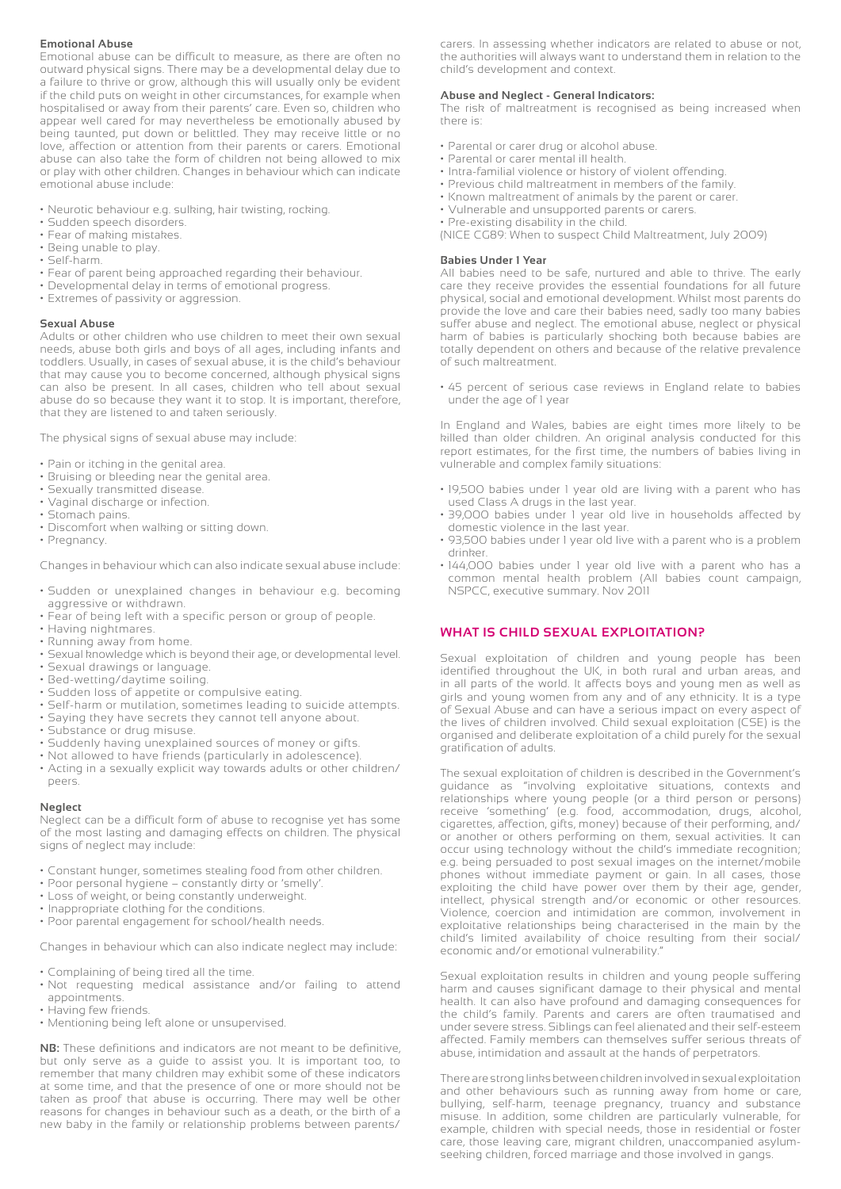#### **Emotional Abuse**

Emotional abuse can be difficult to measure, as there are often no outward physical signs. There may be a developmental delay due to a failure to thrive or grow, although this will usually only be evident if the child puts on weight in other circumstances, for example when hospitalised or away from their parents' care. Even so, children who appear well cared for may nevertheless be emotionally abused by being taunted, put down or belittled. They may receive little or no love, affection or attention from their parents or carers. Emotional abuse can also take the form of children not being allowed to mix or play with other children. Changes in behaviour which can indicate emotional abuse include:

- Neurotic behaviour e.g. sulking, hair twisting, rocking.
- Sudden speech disorders.
- Fear of making mistakes.
- Being unable to play.
- Self-harm.
- Fear of parent being approached regarding their behaviour.
- Developmental delay in terms of emotional progress.
- Extremes of passivity or aggression.

#### **Sexual Abuse**

Adults or other children who use children to meet their own sexual needs, abuse both girls and boys of all ages, including infants and toddlers. Usually, in cases of sexual abuse, it is the child's behaviour that may cause you to become concerned, although physical signs can also be present. In all cases, children who tell about sexual abuse do so because they want it to stop. It is important, therefore, that they are listened to and taken seriously.

The physical signs of sexual abuse may include:

- Pain or itching in the genital area.
- Bruising or bleeding near the genital area.
- Sexually transmitted disease.
- Vaginal discharge or infection.
- Stomach pains.
- Discomfort when walking or sitting down.
- Pregnancy.

Changes in behaviour which can also indicate sexual abuse include:

- Sudden or unexplained changes in behaviour e.g. becoming aggressive or withdrawn.
- Fear of being left with a specific person or group of people.
- Having nightmares.
- Running away from home.
- Sexual knowledge which is beyond their age, or developmental level.
- Sexual drawings or language.
- Bed-wetting/daytime soiling.
- Sudden loss of appetite or compulsive eating.
- Self-harm or mutilation, sometimes leading to suicide attempts.
- Saying they have secrets they cannot tell anyone about.
- Substance or drug misuse.
- Suddenly having unexplained sources of money or gifts.
- Not allowed to have friends (particularly in adolescence).
- Acting in a sexually explicit way towards adults or other children/ peers.

#### **Neglect**

Neglect can be a difficult form of abuse to recognise yet has some of the most lasting and damaging effects on children. The physical signs of neglect may include:

- Constant hunger, sometimes stealing food from other children.
- Poor personal hygiene constantly dirty or 'smelly'.
- Loss of weight, or being constantly underweight.
- Inappropriate clothing for the conditions.
- Poor parental engagement for school/health needs.

Changes in behaviour which can also indicate neglect may include:

- Complaining of being tired all the time.
- Not requesting medical assistance and/or failing to attend appointments.
- Having few friends.
- Mentioning being left alone or unsupervised.

**NB:** These definitions and indicators are not meant to be definitive, but only serve as a guide to assist you. It is important too, to remember that many children may exhibit some of these indicators at some time, and that the presence of one or more should not be taken as proof that abuse is occurring. There may well be other reasons for changes in behaviour such as a death, or the birth of a new baby in the family or relationship problems between parents/

carers. In assessing whether indicators are related to abuse or not, the authorities will always want to understand them in relation to the child's development and context.

#### **Abuse and Neglect - General Indicators:**

The risk of maltreatment is recognised as being increased when there is:

- Parental or carer drug or alcohol abuse.
- Parental or carer mental ill health.
- Intra-familial violence or history of violent offending.
- Previous child maltreatment in members of the family.
- Known maltreatment of animals by the parent or carer.
- Vulnerable and unsupported parents or carers.
- Pre-existing disability in the child.

(NICE CG89: When to suspect Child Maltreatment, July 2009)

#### **Babies Under 1 Year**

All babies need to be safe, nurtured and able to thrive. The early care they receive provides the essential foundations for all future physical, social and emotional development. Whilst most parents do provide the love and care their babies need, sadly too many babies suffer abuse and neglect. The emotional abuse, neglect or physical harm of babies is particularly shocking both because babies are totally dependent on others and because of the relative prevalence of such maltreatment.

• 45 percent of serious case reviews in England relate to babies under the age of 1 year

In England and Wales, babies are eight times more likely to be killed than older children. An original analysis conducted for this report estimates, for the first time, the numbers of babies living in vulnerable and complex family situations:

- 19,500 babies under 1 year old are living with a parent who has used Class A drugs in the last year.
- 39,000 babies under 1 year old live in households affected by domestic violence in the last year.
- 93,500 babies under 1 year old live with a parent who is a problem drinker.
- 144,000 babies under 1 year old live with a parent who has a common mental health problem (All babies count campaign, NSPCC, executive summary. Nov 2011

#### **WHAT IS CHILD SEXUAL EXPLOITATION?**

Sexual exploitation of children and young people has been identified throughout the UK, in both rural and urban areas, and in all parts of the world. It affects boys and young men as well as girls and young women from any and of any ethnicity. It is a type of Sexual Abuse and can have a serious impact on every aspect of the lives of children involved. Child sexual exploitation (CSE) is the organised and deliberate exploitation of a child purely for the sexual gratification of adults.

The sexual exploitation of children is described in the Government's guidance as "involving exploitative situations, contexts and relationships where young people (or a third person or persons) receive 'something' (e.g. food, accommodation, drugs, alcohol, cigarettes, affection, gifts, money) because of their performing, and/ or another or others performing on them, sexual activities. It can occur using technology without the child's immediate recognition; e.g. being persuaded to post sexual images on the internet/mobile phones without immediate payment or gain. In all cases, those exploiting the child have power over them by their age, gender, intellect, physical strength and/or economic or other resources. Violence, coercion and intimidation are common, involvement in exploitative relationships being characterised in the main by the child's limited availability of choice resulting from their social/ economic and/or emotional vulnerability."

Sexual exploitation results in children and young people suffering harm and causes significant damage to their physical and mental health. It can also have profound and damaging consequences for the child's family. Parents and carers are often traumatised and under severe stress. Siblings can feel alienated and their self-esteem affected. Family members can themselves suffer serious threats of abuse, intimidation and assault at the hands of perpetrators.

There are strong links between children involved in sexual exploitation and other behaviours such as running away from home or care, bullying, self-harm, teenage pregnancy, truancy and substance misuse. In addition, some children are particularly vulnerable, for example, children with special needs, those in residential or foster care, those leaving care, migrant children, unaccompanied asylumseeking children, forced marriage and those involved in gangs.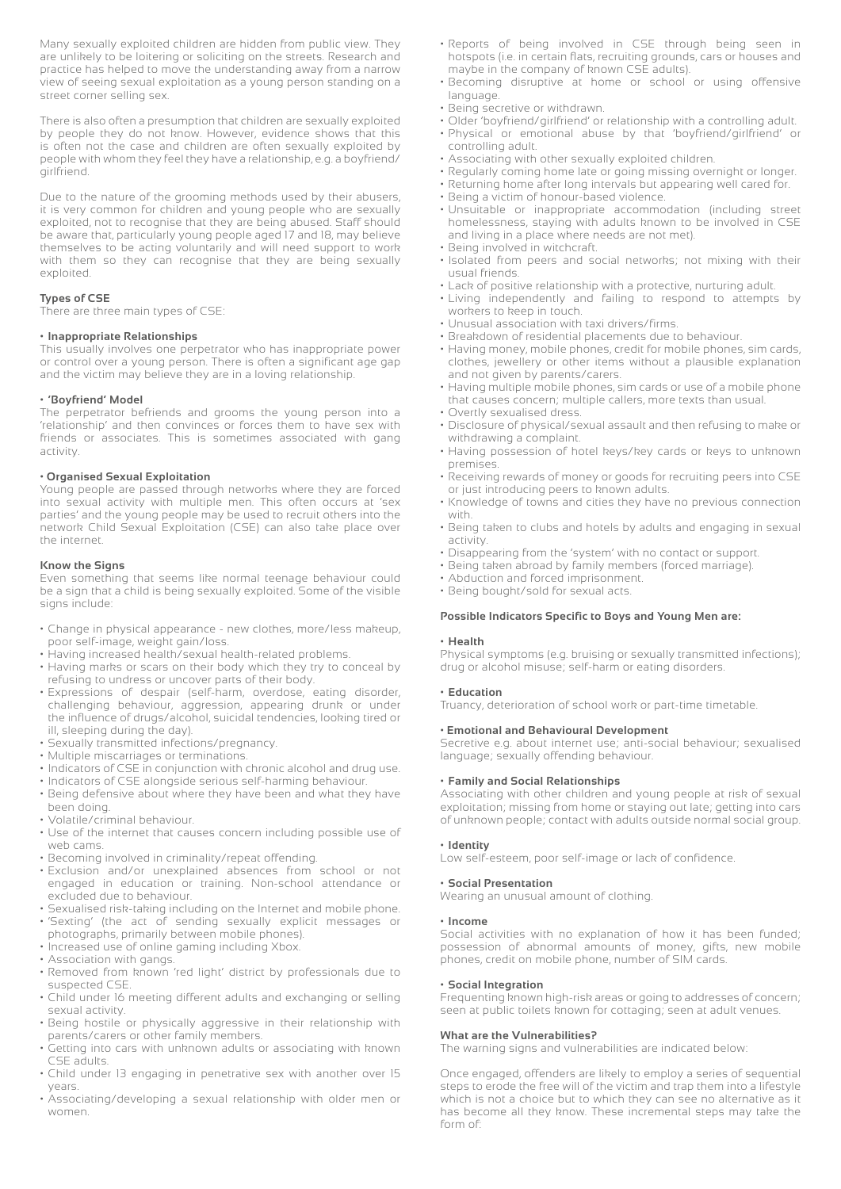Many sexually exploited children are hidden from public view. They are unlikely to be loitering or soliciting on the streets. Research and practice has helped to move the understanding away from a narrow view of seeing sexual exploitation as a young person standing on a street corner selling sex.

There is also often a presumption that children are sexually exploited by people they do not know. However, evidence shows that this is often not the case and children are often sexually exploited by people with whom they feel they have a relationship, e.g. a boyfriend/ girlfriend.

Due to the nature of the grooming methods used by their abusers, it is very common for children and young people who are sexually exploited, not to recognise that they are being abused. Staff should be aware that, particularly young people aged 17 and 18, may believe themselves to be acting voluntarily and will need support to work with them so they can recognise that they are being sexually exploited.

#### **Types of CSE**

There are three main types of CSE:

#### **• Inappropriate Relationships**

This usually involves one perpetrator who has inappropriate power or control over a young person. There is often a significant age gap and the victim may believe they are in a loving relationship.

#### **• 'Boyfriend' Model**

The perpetrator befriends and grooms the young person into a 'relationship' and then convinces or forces them to have sex with friends or associates. This is sometimes associated with gang activity.

#### **• Organised Sexual Exploitation**

Young people are passed through networks where they are forced into sexual activity with multiple men. This often occurs at 'sex parties' and the young people may be used to recruit others into the network Child Sexual Exploitation (CSE) can also take place over the internet.

#### **Know the Signs**

Even something that seems like normal teenage behaviour could be a sign that a child is being sexually exploited. Some of the visible signs include:

- Change in physical appearance new clothes, more/less makeup, poor self-image, weight gain/loss.
- Having increased health/sexual health-related problems.
- Having marks or scars on their body which they try to conceal by refusing to undress or uncover parts of their body.
- Expressions of despair (self-harm, overdose, eating disorder, challenging behaviour, aggression, appearing drunk or under the influence of drugs/alcohol, suicidal tendencies, looking tired or ill, sleeping during the day).
- Sexually transmitted infections/pregnancy.
- Multiple miscarriages or terminations.
- Indicators of CSE in conjunction with chronic alcohol and drug use.
- Indicators of CSE alongside serious self-harming behaviour.
- Being defensive about where they have been and what they have been doing.
- Volatile/criminal behaviour.
- Use of the internet that causes concern including possible use of web cams.
- Becoming involved in criminality/repeat offending.
- Exclusion and/or unexplained absences from school or not engaged in education or training. Non-school attendance or excluded due to behaviour.
- Sexualised risk-taking including on the Internet and mobile phone. • 'Sexting' (the act of sending sexually explicit messages or
- photographs, primarily between mobile phones). • Increased use of online gaming including Xbox.
- Association with gangs.
- Removed from known 'red light' district by professionals due to suspected CSE.
- Child under 16 meeting different adults and exchanging or selling sexual activity.
- Being hostile or physically aggressive in their relationship with parents/carers or other family members.
- Getting into cars with unknown adults or associating with known CSE adults.
- Child under 13 engaging in penetrative sex with another over 15 years.
- Associating/developing a sexual relationship with older men or women.
- Reports of being involved in CSE through being seen in hotspots (i.e. in certain flats, recruiting grounds, cars or houses and maybe in the company of known CSE adults).
- Becoming disruptive at home or school or using offensive language.
- Being secretive or withdrawn.
- Older 'boyfriend/girlfriend' or relationship with a controlling adult. • Physical or emotional abuse by that 'boyfriend/girlfriend' or
- controlling adult.
- Associating with other sexually exploited children.
- Regularly coming home late or going missing overnight or longer.
- Returning home after long intervals but appearing well cared for. • Being a victim of honour-based violence.
- Unsuitable or inappropriate accommodation (including street homelessness, staying with adults known to be involved in CSE and living in a place where needs are not met).
- Being involved in witchcraft.
- Isolated from peers and social networks; not mixing with their usual friends.
- Lack of positive relationship with a protective, nurturing adult.
- Living independently and failing to respond to attempts by workers to keep in touch.
- Unusual association with taxi drivers/firms.
- Breakdown of residential placements due to behaviour.
- Having money, mobile phones, credit for mobile phones, sim cards, clothes, jewellery or other items without a plausible explanation and not given by parents/carers.
- Having multiple mobile phones, sim cards or use of a mobile phone that causes concern; multiple callers, more texts than usual.
- Overtly sexualised dress. • Disclosure of physical/sexual assault and then refusing to make or
- withdrawing a complaint. • Having possession of hotel keys/key cards or keys to unknown
- premises.
- Receiving rewards of money or goods for recruiting peers into CSE or just introducing peers to known adults.
- Knowledge of towns and cities they have no previous connection with.
- Being taken to clubs and hotels by adults and engaging in sexual activity.
- Disappearing from the 'system' with no contact or support.
- Being taken abroad by family members (forced marriage).
- Abduction and forced imprisonment.
- Being bought/sold for sexual acts.

#### **Possible Indicators Specific to Boys and Young Men are:**

#### **• Health**

Physical symptoms (e.g. bruising or sexually transmitted infections); drug or alcohol misuse; self-harm or eating disorders.

#### **• Education**

Truancy, deterioration of school work or part-time timetable.

#### **• Emotional and Behavioural Development**

Secretive e.g. about internet use; anti-social behaviour; sexualised language; sexually offending behaviour.

#### **• Family and Social Relationships**

Associating with other children and young people at risk of sexual exploitation; missing from home or staying out late; getting into cars of unknown people; contact with adults outside normal social group.

#### **• Identity**

Low self-esteem, poor self-image or lack of confidence.

#### **• Social Presentation**

Wearing an unusual amount of clothing.

#### **• Income**

Social activities with no explanation of how it has been funded; possession of abnormal amounts of money, gifts, new mobile phones, credit on mobile phone, number of SIM cards.

#### **• Social Integration**

Frequenting known high-risk areas or going to addresses of concern; seen at public toilets known for cottaging; seen at adult venues.

#### **What are the Vulnerabilities?**

The warning signs and vulnerabilities are indicated below:

Once engaged, offenders are likely to employ a series of sequential steps to erode the free will of the victim and trap them into a lifestyle which is not a choice but to which they can see no alternative as it has become all they know. These incremental steps may take the form of: